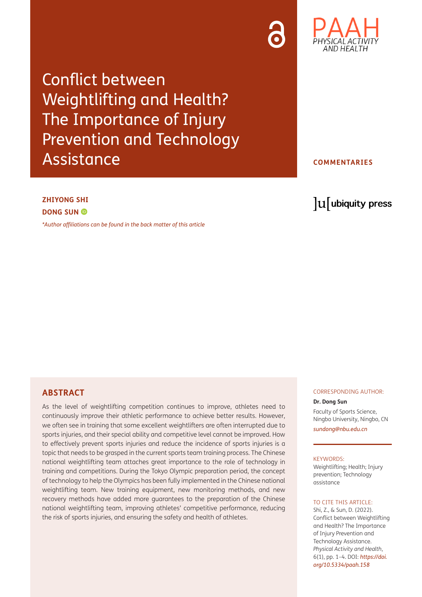Conflict between Weightlifting and Health? The Importance of Injury Prevention and Technology Assistance

AND HEALTH

## **COMMENTARIES**

# **ZHIYONG SHI DONG SUN ©**

*[\\*Author affiliations can be found in the back matter of this article](#page-3-0)*

# lu ubiquity press

## **ABSTRACT**

As the level of weightlifting competition continues to improve, athletes need to continuously improve their athletic performance to achieve better results. However, we often see in training that some excellent weightlifters are often interrupted due to sports injuries, and their special ability and competitive level cannot be improved. How to effectively prevent sports injuries and reduce the incidence of sports injuries is a topic that needs to be grasped in the current sports team training process. The Chinese national weightlifting team attaches great importance to the role of technology in training and competitions. During the Tokyo Olympic preparation period, the concept of technology to help the Olympics has been fully implemented in the Chinese national weightlifting team. New training equipment, new monitoring methods, and new recovery methods have added more guarantees to the preparation of the Chinese national weightlifting team, improving athletes' competitive performance, reducing the risk of sports injuries, and ensuring the safety and health of athletes.

## CORRESPONDING AUTHOR:

## **Dr. Dong Sun**

Faculty of Sports Science, Ningbo University, Ningbo, CN *[sundong@nbu.edu.cn](mailto:sundong@nbu.edu.cn)*

#### KEYWORDS:

Weightlifting; Health; Injury prevention; Technology assistance

## TO CITE THIS ARTICLE:

Shi, Z., & Sun, D. (2022). Conflict between Weightlifting and Health? The Importance of Injury Prevention and Technology Assistance. *Physical Activity and Health*, 6(1), pp. 1–4. DOI: *[https://doi.](https://doi.org/10.5334/paah.158) [org/10.5334/paah.158](https://doi.org/10.5334/paah.158)*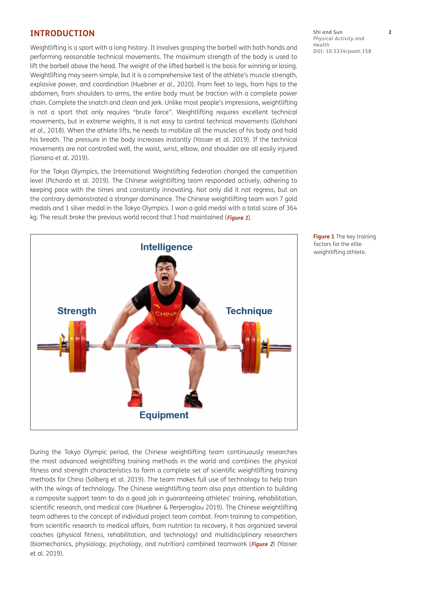# **INTRODUCTION**

Weightlifting is a sport with a long history. It involves grasping the barbell with both hands and performing reasonable technical movements. The maximum strength of the body is used to lift the barbell above the head. The weight of the lifted barbell is the basis for winning or losing. Weightlifting may seem simple, but it is a comprehensive test of the athlete's muscle strength, explosive power, and coordination ([Huebner](#page-3-1) *et al.*, 2020). From feet to legs, from hips to the abdomen, from shoulders to arms, the entire body must be traction with a complete power chain. Complete the snatch and clean and jerk. Unlike most people's impressions, weightlifting is not a sport that only requires "brute force". Weightlifting requires excellent technical movements, but in extreme weights, it is not easy to control technical movements ([Golshani](#page-3-1)  *et al.*[, 2018](#page-3-1)). When the athlete lifts, he needs to mobilize all the muscles of his body and hold his breath. The pressure in the body increases instantly ([Yasser et al. 2019\)](#page-3-1). If the technical movements are not controlled well, the waist, wrist, elbow, and shoulder are all easily injured [\(Soriano et al. 2019\)](#page-3-1).

For the Tokyo Olympics, the International Weightlifting Federation changed the competition level [\(Pichardo et al. 2019](#page-3-1)). The Chinese weightlifting team responded actively, adhering to keeping pace with the times and constantly innovating. Not only did it not regress, but on the contrary demonstrated a stronger dominance. The Chinese weightlifting team won 7 gold medals and 1 silver medal in the Tokyo Olympics. I won a gold medal with a total score of 364 kg. The result broke the previous world record that I had maintained (**[Figure 1](#page-1-0)**).



During the Tokyo Olympic period, the Chinese weightlifting team continuously researches the most advanced weightlifting training methods in the world and combines the physical fitness and strength characteristics to form a complete set of scientific weightlifting training methods for China ([Solberg et al. 2019\)](#page-3-1). The team makes full use of technology to help train with the wings of technology. The Chinese weightlifting team also pays attention to building a composite support team to do a good job in guaranteeing athletes' training, rehabilitation, scientific research, and medical care [\(Huebner & Perperoglou 2019\)](#page-3-1). The Chinese weightlifting team adheres to the concept of individual project team combat. From training to competition, from scientific research to medical affairs, from nutrition to recovery, it has organized several coaches (physical fitness, rehabilitation, and technology) and multidisciplinary researchers (biomechanics, physiology, psychology, and nutrition) combined teamwork (**[Figure 2](#page-2-0)**) [\(Yasser](#page-3-1)  [et al. 2019](#page-3-1)).

Shi and Sun **2** *Physical Activity and Health* DOI: [10.5334/paah.158](https://doi.org/10.5334/paah.158)

<span id="page-1-0"></span>**Figure 1** The key training factors for the elite weightlifting athlete.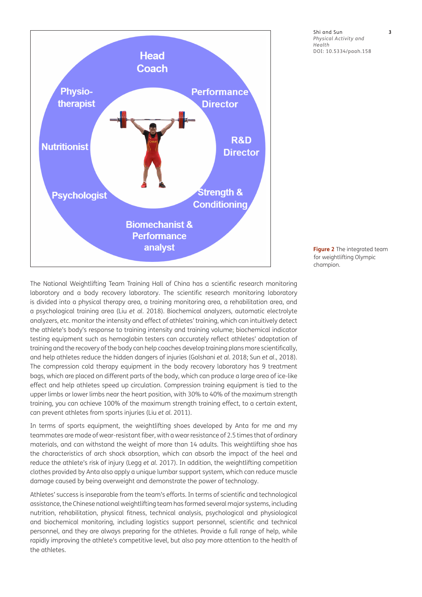

Shi and Sun **3** *Physical Activity and Health* DOI: [10.5334/paah.158](https://doi.org/10.5334/paah.158)

The National Weightlifting Team Training Hall of China has a scientific research monitoring laboratory and a body recovery laboratory. The scientific research monitoring laboratory is divided into a physical therapy area, a training monitoring area, a rehabilitation area, and a psychological training area (Liu *et al.* [2018](#page-3-1)). Biochemical analyzers, automatic electrolyte analyzers, etc. monitor the intensity and effect of athletes' training, which can intuitively detect the athlete's body's response to training intensity and training volume; biochemical indicator testing equipment such as hemoglobin testers can accurately reflect athletes' adaptation of training and the recovery of the body can help coaches develop training plans more scientifically, and help athletes reduce the hidden dangers of injuries [\(Golshani](#page-3-1) *et al.* 2018; Sun *et al*[., 2018](#page-3-1)). The compression cold therapy equipment in the body recovery laboratory has 9 treatment bags, which are placed on different parts of the body, which can produce a large area of ice-like effect and help athletes speed up circulation. Compression training equipment is tied to the upper limbs or lower limbs near the heart position, with 30% to 40% of the maximum strength training, you can achieve 100% of the maximum strength training effect, to a certain extent, can prevent athletes from sports injuries (Liu *et al.* [2011\)](#page-3-1).

In terms of sports equipment, the weightlifting shoes developed by Anta for me and my teammates are made of wear-resistant fiber, with a wear resistance of 2.5 times that of ordinary materials, and can withstand the weight of more than 14 adults. This weightlifting shoe has the characteristics of arch shock absorption, which can absorb the impact of the heel and reduce the athlete's risk of injury (Legg *et al.* [2017\)](#page-3-1). In addition, the weightlifting competition clothes provided by Anta also apply a unique lumbar support system, which can reduce muscle damage caused by being overweight and demonstrate the power of technology.

Athletes' success is inseparable from the team's efforts. In terms of scientific and technological assistance, the Chinese national weightlifting team has formed several major systems, including nutrition, rehabilitation, physical fitness, technical analysis, psychological and physiological and biochemical monitoring, including logistics support personnel, scientific and technical personnel, and they are always preparing for the athletes. Provide a full range of help, while rapidly improving the athlete's competitive level, but also pay more attention to the health of the athletes.

<span id="page-2-0"></span>**Figure 2** The integrated team for weightlifting Olympic champion.